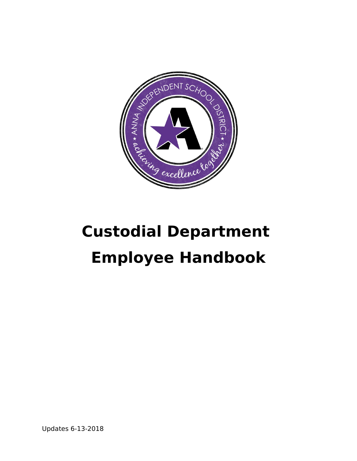

# **Custodial Department Employee Handbook**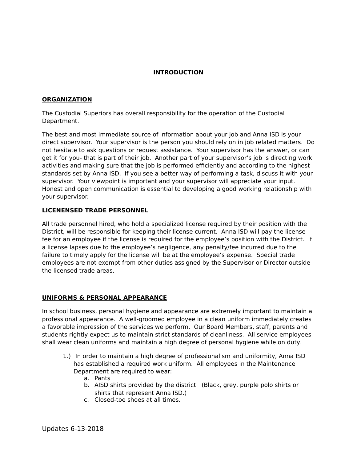## **INTRODUCTION**

## **ORGANIZATION**

The Custodial Superiors has overall responsibility for the operation of the Custodial Department.

The best and most immediate source of information about your job and Anna ISD is your direct supervisor. Your supervisor is the person you should rely on in job related matters. Do not hesitate to ask questions or request assistance. Your supervisor has the answer, or can get it for you- that is part of their job. Another part of your supervisor's job is directing work activities and making sure that the job is performed efficiently and according to the highest standards set by Anna ISD. If you see a better way of performing a task, discuss it with your supervisor. Your viewpoint is important and your supervisor will appreciate your input. Honest and open communication is essential to developing a good working relationship with your supervisor.

## **LICENENSED TRADE PERSONNEL**

All trade personnel hired, who hold a specialized license required by their position with the District, will be responsible for keeping their license current. Anna ISD will pay the license fee for an employee if the license is required for the employee's position with the District. If a license lapses due to the employee's negligence, any penalty/fee incurred due to the failure to timely apply for the license will be at the employee's expense. Special trade employees are not exempt from other duties assigned by the Supervisor or Director outside the licensed trade areas.

# **UNIFORMS & PERSONAL APPEARANCE**

In school business, personal hygiene and appearance are extremely important to maintain a professional appearance. A well-groomed employee in a clean uniform immediately creates a favorable impression of the services we perform. Our Board Members, staff, parents and students rightly expect us to maintain strict standards of cleanliness. All service employees shall wear clean uniforms and maintain a high degree of personal hygiene while on duty.

- 1.) In order to maintain a high degree of professionalism and uniformity, Anna ISD has established a required work uniform. All employees in the Maintenance Department are required to wear:
	- a. Pants
	- b. AISD shirts provided by the district. (Black, grey, purple polo shirts or shirts that represent Anna ISD.)
	- c. Closed-toe shoes at all times.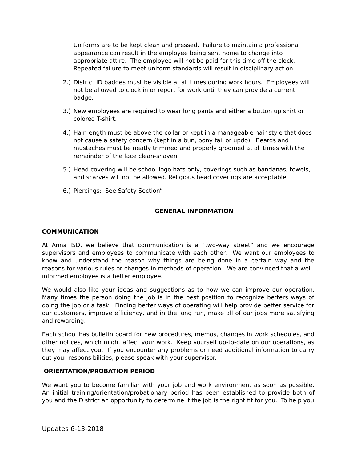Uniforms are to be kept clean and pressed. Failure to maintain a professional appearance can result in the employee being sent home to change into appropriate attire. The employee will not be paid for this time off the clock. Repeated failure to meet uniform standards will result in disciplinary action.

- 2.) District ID badges must be visible at all times during work hours. Employees will not be allowed to clock in or report for work until they can provide a current badge.
- 3.) New employees are required to wear long pants and either a button up shirt or colored T-shirt.
- 4.) Hair length must be above the collar or kept in a manageable hair style that does not cause a safety concern (kept in a bun, pony tail or updo). Beards and mustaches must be neatly trimmed and properly groomed at all times with the remainder of the face clean-shaven.
- 5.) Head covering will be school logo hats only, coverings such as bandanas, towels, and scarves will not be allowed. Religious head coverings are acceptable.
- 6.) Piercings: See Safety Section"

# **GENERAL INFORMATION**

## **COMMUNICATION**

At Anna ISD, we believe that communication is a "two-way street" and we encourage supervisors and employees to communicate with each other. We want our employees to know and understand the reason why things are being done in a certain way and the reasons for various rules or changes in methods of operation. We are convinced that a wellinformed employee is a better employee.

We would also like your ideas and suggestions as to how we can improve our operation. Many times the person doing the job is in the best position to recognize betters ways of doing the job or a task. Finding better ways of operating will help provide better service for our customers, improve efficiency, and in the long run, make all of our jobs more satisfying and rewarding.

Each school has bulletin board for new procedures, memos, changes in work schedules, and other notices, which might affect your work. Keep yourself up-to-date on our operations, as they may affect you. If you encounter any problems or need additional information to carry out your responsibilities, please speak with your supervisor.

# **ORIENTATION/PROBATION PERIOD**

We want you to become familiar with your job and work environment as soon as possible. An initial training/orientation/probationary period has been established to provide both of you and the District an opportunity to determine if the job is the right fit for you. To help you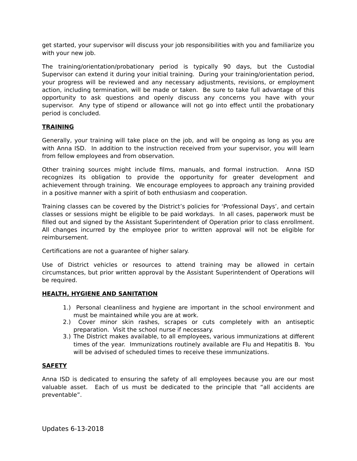get started, your supervisor will discuss your job responsibilities with you and familiarize you with your new job.

The training/orientation/probationary period is typically 90 days, but the Custodial Supervisor can extend it during your initial training. During your training/orientation period, your progress will be reviewed and any necessary adjustments, revisions, or employment action, including termination, will be made or taken. Be sure to take full advantage of this opportunity to ask questions and openly discuss any concerns you have with your supervisor. Any type of stipend or allowance will not go into effect until the probationary period is concluded.

# **TRAINING**

Generally, your training will take place on the job, and will be ongoing as long as you are with Anna ISD. In addition to the instruction received from your supervisor, you will learn from fellow employees and from observation.

Other training sources might include films, manuals, and formal instruction. Anna ISD recognizes its obligation to provide the opportunity for greater development and achievement through training. We encourage employees to approach any training provided in a positive manner with a spirit of both enthusiasm and cooperation.

Training classes can be covered by the District's policies for 'Professional Days', and certain classes or sessions might be eligible to be paid workdays. In all cases, paperwork must be filled out and signed by the Assistant Superintendent of Operation prior to class enrollment. All changes incurred by the employee prior to written approval will not be eligible for reimbursement.

Certifications are not a guarantee of higher salary.

Use of District vehicles or resources to attend training may be allowed in certain circumstances, but prior written approval by the Assistant Superintendent of Operations will be required.

#### **HEALTH, HYGIENE AND SANITATION**

- 1.) Personal cleanliness and hygiene are important in the school environment and must be maintained while you are at work.
- 2.) Cover minor skin rashes, scrapes or cuts completely with an antiseptic preparation. Visit the school nurse if necessary.
- 3.) The District makes available, to all employees, various immunizations at different times of the year. Immunizations routinely available are Flu and Hepatitis B. You will be advised of scheduled times to receive these immunizations.

# **SAFETY**

Anna ISD is dedicated to ensuring the safety of all employees because you are our most valuable asset. Each of us must be dedicated to the principle that "all accidents are preventable".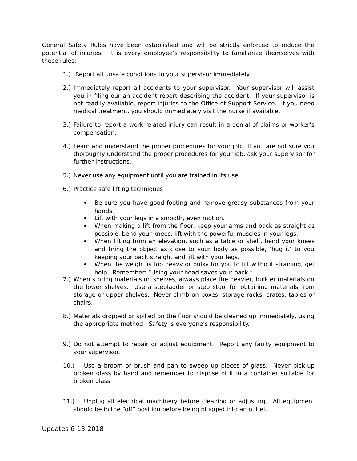General Safety Rules have been established and will be strictly enforced to reduce the potential of injuries. It is every employee's responsibility to familiarize themselves with these rules:

- 1.) Report all unsafe conditions to your supervisor immediately.
- 2.) Immediately report all accidents to your supervisor. Your supervisor will assist you in filing our an accident report describing the accident. If your supervisor is not readily available, report injuries to the Office of Support Service. If you need medical treatment, you should immediately visit the nurse if available.
- 3.) Failure to report a work-related injury can result in a denial of claims or worker's compensation.
- 4.) Learn and understand the proper procedures for your job. If you are not sure you thoroughly understand the proper procedures for your job, ask your supervisor for further instructions.
- 5.) Never use any equipment until you are trained in its use.
- 6.) Practice safe lifting techniques:
	- $\bullet$ Be sure you have good footing and remove greasy substances from your hands.
	- Lift with your legs in a smooth, even motion.
	- $\bullet$ When making a lift from the floor, keep your arms and back as straight as possible, bend your knees, lift with the powerful muscles in your legs.
	- When lifting from an elevation, such as a table or shelf, bend your knees and bring the object as close to your body as possible, 'hug it' to you keeping your back straight and lift with your legs.
	- $\bullet$ When the weight is too heavy or bulky for you to lift without straining, get help. Remember: "Using your head saves your back."
- 7.) When storing materials on shelves, always place the heavier, bulkier materials on the lower shelves. Use a stepladder or step stool for obtaining materials from storage or upper shelves. Never climb on boxes, storage racks, crates, tables or chairs.
- 8.) Materials dropped or spilled on the floor should be cleaned up immediately, using the appropriate method. Safety is everyone's responsibility.
- 9.) Do not attempt to repair or adjust equipment. Report any faulty equipment to your supervisor.
- $10.$ Use a broom or brush and pan to sweep up pieces of glass. Never pick-up broken glass by hand and remember to dispose of it in a container suitable for broken glass.
- $11.)$ Unplug all electrical machinery before cleaning or adjusting. All equipment should be in the "off" position before being plugged into an outlet.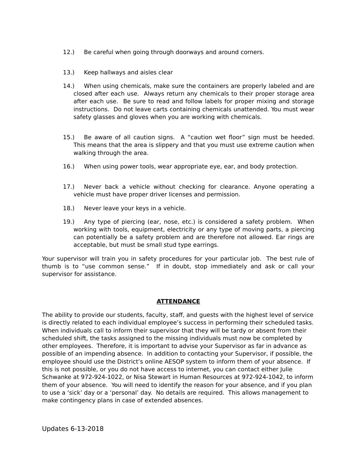- $12.$ Be careful when going through doorways and around corners.
- $13.)$ Keep hallways and aisles clear
- When using chemicals, make sure the containers are properly labeled and are  $14.$ closed after each use. Always return any chemicals to their proper storage area after each use. Be sure to read and follow labels for proper mixing and storage instructions. Do not leave carts containing chemicals unattended. You must wear safety glasses and gloves when you are working with chemicals.
- Be aware of all caution signs. A "caution wet floor" sign must be heeded.  $15.$ This means that the area is slippery and that you must use extreme caution when walking through the area.
- $16.$ When using power tools, wear appropriate eye, ear, and body protection.
- $17.)$ Never back a vehicle without checking for clearance. Anyone operating a vehicle must have proper driver licenses and permission.
- 18.) Never leave your keys in a vehicle.
- Any type of piercing (ear, nose, etc.) is considered a safety problem. When  $19.$ working with tools, equipment, electricity or any type of moving parts, a piercing can potentially be a safety problem and are therefore not allowed. Ear rings are acceptable, but must be small stud type earrings.

Your supervisor will train you in safety procedures for your particular job. The best rule of thumb is to "use common sense." If in doubt, stop immediately and ask or call your supervisor for assistance.

# **ATTENDANCE**

The ability to provide our students, faculty, staff, and quests with the highest level of service is directly related to each individual employee's success in performing their scheduled tasks. When individuals call to inform their supervisor that they will be tardy or absent from their scheduled shift, the tasks assigned to the missing individuals must now be completed by other employees. Therefore, it is important to advise your Supervisor as far in advance as possible of an impending absence. In addition to contacting your Supervisor, if possible, the employee should use the District's online AESOP system to inform them of your absence. If this is not possible, or you do not have access to internet, you can contact either Julie Schwanke at 972-924-1022, or Nisa Stewart in Human Resources at 972-924-1042, to inform them of your absence. You will need to identify the reason for your absence, and if you plan to use a 'sick' day or a 'personal' day. No details are required. This allows management to make contingency plans in case of extended absences.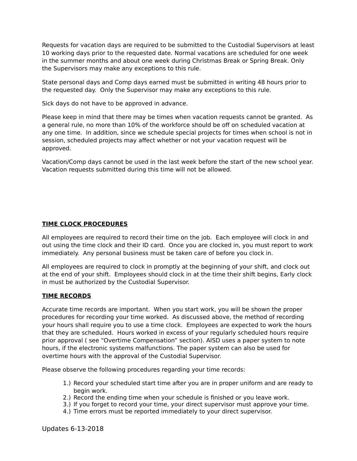Requests for vacation days are required to be submitted to the Custodial Supervisors at least 10 working days prior to the requested date. Normal vacations are scheduled for one week in the summer months and about one week during Christmas Break or Spring Break. Only the Supervisors may make any exceptions to this rule.

State personal days and Comp days earned must be submitted in writing 48 hours prior to the requested day. Only the Supervisor may make any exceptions to this rule.

Sick days do not have to be approved in advance.

Please keep in mind that there may be times when vacation requests cannot be granted. As a general rule, no more than 10% of the workforce should be off on scheduled vacation at any one time. In addition, since we schedule special projects for times when school is not in session, scheduled projects may affect whether or not your vacation request will be approved.

Vacation/Comp days cannot be used in the last week before the start of the new school year. Vacation requests submitted during this time will not be allowed.

## **TIME CLOCK PROCEDURES**

All employees are required to record their time on the job. Each employee will clock in and out using the time clock and their ID card. Once you are clocked in, you must report to work immediately. Any personal business must be taken care of before you clock in.

All employees are required to clock in promptly at the beginning of your shift, and clock out at the end of your shift. Employees should clock in at the time their shift begins, Early clock in must be authorized by the Custodial Supervisor.

#### **TIME RECORDS**

Accurate time records are important. When you start work, you will be shown the proper procedures for recording your time worked. As discussed above, the method of recording your hours shall require you to use a time clock. Employees are expected to work the hours that they are scheduled. Hours worked in excess of your regularly scheduled hours require prior approval (see "Overtime Compensation" section). AISD uses a paper system to note hours, if the electronic systems malfunctions. The paper system can also be used for overtime hours with the approval of the Custodial Supervisor.

Please observe the following procedures regarding your time records:

- 1.) Record your scheduled start time after you are in proper uniform and are ready to begin work.
- 2.) Record the ending time when your schedule is finished or you leave work.
- 3.) If you forget to record your time, your direct supervisor must approve your time.
- 4.) Time errors must be reported immediately to your direct supervisor.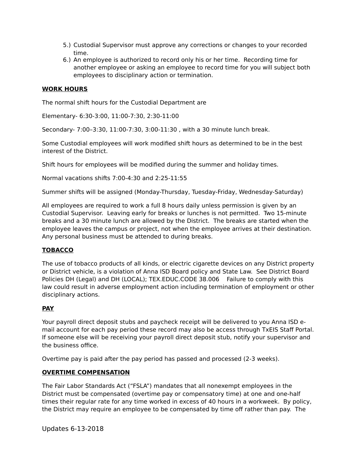- 5.) Custodial Supervisor must approve any corrections or changes to your recorded time
- 6.) An employee is authorized to record only his or her time. Recording time for another employee or asking an employee to record time for you will subject both employees to disciplinary action or termination.

## **WORK HOURS**

The normal shift hours for the Custodial Department are

Elementary- 6:30-3:00, 11:00-7:30, 2:30-11:00

Secondary- 7:00-3:30, 11:00-7:30, 3:00-11:30, with a 30 minute lunch break.

Some Custodial employees will work modified shift hours as determined to be in the best interest of the District.

Shift hours for employees will be modified during the summer and holiday times.

Normal vacations shifts 7:00-4:30 and 2:25-11:55

Summer shifts will be assigned (Monday-Thursday, Tuesday-Friday, Wednesday-Saturday)

All employees are required to work a full 8 hours daily unless permission is given by an Custodial Supervisor. Leaving early for breaks or lunches is not permitted. Two 15-minute breaks and a 30 minute lunch are allowed by the District. The breaks are started when the employee leaves the campus or project, not when the employee arrives at their destination. Any personal business must be attended to during breaks.

# **TOBACCO**

The use of tobacco products of all kinds, or electric cigarette devices on any District property or District vehicle, is a violation of Anna ISD Board policy and State Law. See District Board Policies DH (Legal) and DH (LOCAL); TEX.EDUC.CODE 38.006 Failure to comply with this law could result in adverse employment action including termination of employment or other disciplinary actions.

# **PAY**

Your payroll direct deposit stubs and paycheck receipt will be delivered to you Anna ISD email account for each pay period these record may also be access through TxEIS Staff Portal. If someone else will be receiving your payroll direct deposit stub, notify your supervisor and the business office.

Overtime pay is paid after the pay period has passed and processed (2-3 weeks).

#### **OVERTIME COMPENSATION**

The Fair Labor Standards Act ("FSLA") mandates that all nonexempt employees in the District must be compensated (overtime pay or compensatory time) at one and one-half times their regular rate for any time worked in excess of 40 hours in a workweek. By policy, the District may require an employee to be compensated by time off rather than pay. The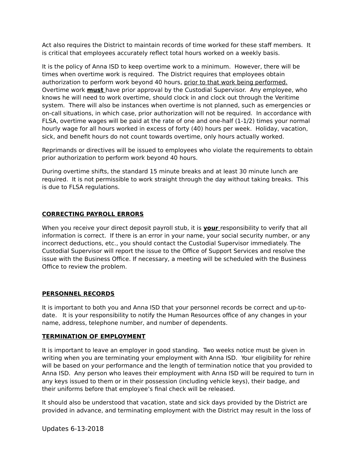Act also requires the District to maintain records of time worked for these staff members. It is critical that employees accurately reflect total hours worked on a weekly basis.

It is the policy of Anna ISD to keep overtime work to a minimum. However, there will be times when overtime work is required. The District requires that employees obtain authorization to perform work beyond 40 hours, prior to that work being performed. Overtime work **must** have prior approval by the Custodial Supervisor. Any employee, who knows he will need to work overtime, should clock in and clock out through the Veritime system. There will also be instances when overtime is not planned, such as emergencies or on-call situations, in which case, prior authorization will not be required. In accordance with FLSA, overtime wages will be paid at the rate of one and one-half (1-1/2) times your normal hourly wage for all hours worked in excess of forty (40) hours per week. Holiday, vacation, sick, and benefit hours do not count towards overtime, only hours actually worked.

Reprimands or directives will be issued to employees who violate the requirements to obtain prior authorization to perform work beyond 40 hours.

During overtime shifts, the standard 15 minute breaks and at least 30 minute lunch are required. It is not permissible to work straight through the day without taking breaks. This is due to FLSA regulations.

# **CORRECTING PAYROLL ERRORS**

When you receive your direct deposit payroll stub, it is your responsibility to verify that all information is correct. If there is an error in your name, your social security number, or any incorrect deductions, etc., you should contact the Custodial Supervisor immediately. The Custodial Supervisor will report the issue to the Office of Support Services and resolve the issue with the Business Office. If necessary, a meeting will be scheduled with the Business Office to review the problem.

# **PERSONNEL RECORDS**

It is important to both you and Anna ISD that your personnel records be correct and up-todate. It is your responsibility to notify the Human Resources office of any changes in your name, address, telephone number, and number of dependents.

# **TERMINATION OF EMPLOYMENT**

It is important to leave an employer in good standing. Two weeks notice must be given in writing when you are terminating your employment with Anna ISD. Your eligibility for rehire will be based on your performance and the length of termination notice that you provided to Anna ISD. Any person who leaves their employment with Anna ISD will be required to turn in any keys issued to them or in their possession (including vehicle keys), their badge, and their uniforms before that employee's final check will be released.

It should also be understood that vacation, state and sick days provided by the District are provided in advance, and terminating employment with the District may result in the loss of

Updates 6-13-2018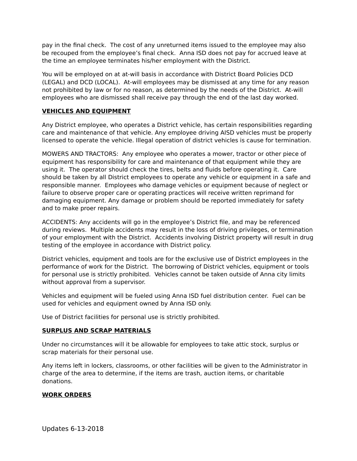pay in the final check. The cost of any unreturned items issued to the employee may also be recouped from the employee's final check. Anna ISD does not pay for accrued leave at the time an employee terminates his/her employment with the District.

You will be employed on at at-will basis in accordance with District Board Policies DCD (LEGAL) and DCD (LOCAL). At-will employees may be dismissed at any time for any reason not prohibited by law or for no reason, as determined by the needs of the District. At-will employees who are dismissed shall receive pay through the end of the last day worked.

# **VEHICLES AND EQUIPMENT**

Any District employee, who operates a District vehicle, has certain responsibilities regarding care and maintenance of that vehicle. Any employee driving AISD vehicles must be properly licensed to operate the vehicle. Illegal operation of district vehicles is cause for termination.

MOWERS AND TRACTORS: Any employee who operates a mower, tractor or other piece of equipment has responsibility for care and maintenance of that equipment while they are using it. The operator should check the tires, belts and fluids before operating it. Care should be taken by all District employees to operate any vehicle or equipment in a safe and responsible manner. Employees who damage vehicles or equipment because of neglect or failure to observe proper care or operating practices will receive written reprimand for damaging equipment. Any damage or problem should be reported immediately for safety and to make proer repairs.

ACCIDENTS: Any accidents will go in the employee's District file, and may be referenced during reviews. Multiple accidents may result in the loss of driving privileges, or termination of your employment with the District. Accidents involving District property will result in drug testing of the employee in accordance with District policy.

District vehicles, equipment and tools are for the exclusive use of District employees in the performance of work for the District. The borrowing of District vehicles, equipment or tools for personal use is strictly prohibited. Vehicles cannot be taken outside of Anna city limits without approval from a supervisor.

Vehicles and equipment will be fueled using Anna ISD fuel distribution center. Fuel can be used for vehicles and equipment owned by Anna ISD only.

Use of District facilities for personal use is strictly prohibited.

#### **SURPLUS AND SCRAP MATERIALS**

Under no circumstances will it be allowable for employees to take attic stock, surplus or scrap materials for their personal use.

Any items left in lockers, classrooms, or other facilities will be given to the Administrator in charge of the area to determine, if the items are trash, auction items, or charitable donations.

# **WORK ORDERS**

**Updates 6-13-2018**